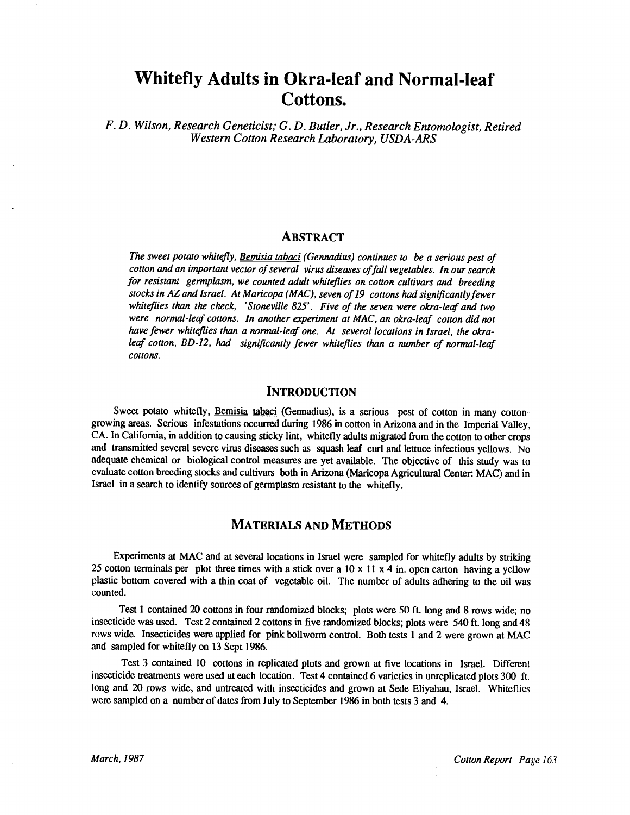# Whitefly Adults in Okra -leaf and Normal -leaf Cottons.

F. D. Wilson, Research Geneticist; G. D. Butler, Jr., Research Entomologist, Retired Western Cotton Research Laboratory, USDA -ARS

#### ABSTRACT

The sweet potato whitefly, Bemisia tabaci (Gennadius) continues to be a serious pest of cotton and an important vector of several virus diseases of fall vegetables. In our search for resistant germplasm, we counted adult whiteflies on cotton cultivars and breeding stocks in AZ and Israel. At Maricopa (MAC), seven of 19 cottons had significantly fewer whiteflies than the check, 'Stoneville 825'. Five of the seven were okra-leaf and two were normal-leaf cottons. In another experiment at MAC, an okra-leaf cotton did not have fewer whiteflies than a normal-leaf one. At several locations in Israel, the okraleaf cotton, BD-12, had significantly fewer whiteflies than a number of normal-leaf cottons.

### INTRODUCTION

Sweet potato whitefly, Bemisia tabaci (Gennadius), is a serious pest of cotton in many cottongrowing areas. Serious infestations occurred during 1986 in cotton in Arizona and in the Imperial Valley, CA. In California, in addition to causing sticky lint, whitefly adults migrated from the cotton to other crops and transmitted several severe virus diseases such as squash leaf curl and lettuce infectious yellows. No adequate chemical or biological control measures are yet available. The objective of this study was to evaluate cotton breeding stocks and cultivars both in Arizona (Maricopa Agricultural Center: MAC) and in Israel in a search to identify sources of germplasm resistant to the whitefly.

## MATERIALS AND METHODS

Experiments at MAC and at several locations in Israel were sampled for whitefly adults by striking 25 cotton terminals per plot three times with a stick over a 10 x 11 x 4 in. open carton having a yellow plastic bottom covered with a thin coat of vegetable oil. The number of adults adhering to the oil was counted.

Test 1 contained 20 cottons in four randomized blocks; plots were 50 ft. long and 8 rows wide; no insecticide was used. Test 2 contained 2 cottons in five randomized blocks; plots were 540 ft. long and 48 rows wide. Insecticides were applied for pink bollworm control. Both tests 1 and 2 were grown at MAC and sampled for whitefly on 13 Sept 1986.

Test 3 contained 10 cottons in replicated plots and grown at five locations in Israel. Different insecticide treatments were used at each location. Test 4 contained 6 varieties in unreplicated plots 300 ft. long and 20 rows wide, and untreated with insecticides and grown at Sede Eliyahau, Israel. Whiteflics were sampled on a number of dates from July to September 1986 in both tests 3 and 4.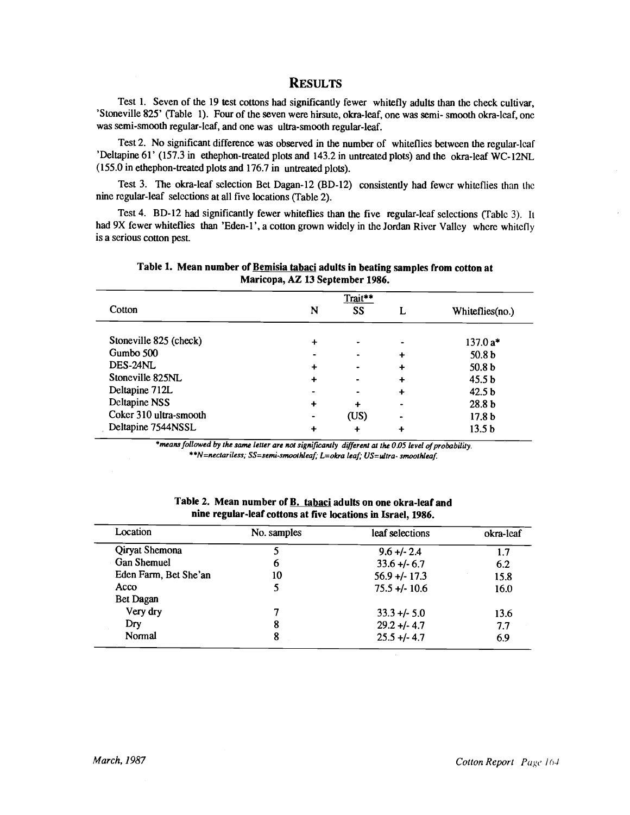### **RESULTS**

Test 1. Seven of the 19 test cottons had significantly fewer whitefly adults than the check cultivar, 'Stoneville 825' (Table 1). Four of the seven were hirsute, okra -leaf, one was semi- smooth okra -leaf, one was semi-smooth regular-leaf, and one was ultra-smooth regular-leaf.

Test 2. No significant difference was observed in the number of whiteflies between the regular -leaf 'Deltapine 61' (157.3 in ethephon-treated plots and 143.2 in untreated plots) and the okra-leaf WC-12NL (155.0 in ethephon -treated plots and 176.7 in untreated plots).

Test 3. The okra-leaf selection Bet Dagan-12 (BD-12) consistently had fewer whiteflies than the nine regular -leaf selections at all five locations (Table 2).

Test 4. BD-12 had significantly fewer whiteflies than the five regular-leaf selections (Table 3). It had 9X fewer whiteflies than 'Eden-1', a cotton grown widely in the Jordan River Valley where whitefly is a serious cotton pest.

|                        | Trait** |        |           |                   |
|------------------------|---------|--------|-----------|-------------------|
| Cotton                 | N       | SS     |           | Whiteflies(no.)   |
| Stoneville 825 (check) | ┿       |        |           | $137.0 a*$        |
| Gumbo 500              |         |        |           | 50.8 <sub>b</sub> |
| DES-24NL               | +       |        |           | 50.8 <sub>b</sub> |
| Stoneville 825NL       | ╇       |        | ╇         | 45.5 <sub>b</sub> |
| Deltapine 712L         |         |        | ╇         | 42.5 <sub>b</sub> |
| Deltapine NSS          | ٠       | $\div$ | $\bullet$ | 28.8 <sub>b</sub> |
| Coker 310 ultra-smooth |         | (US)   | -         | 17.8 <sub>b</sub> |
| Deltapine 7544NSSL     | ٠       | +      |           | 13.5 <sub>b</sub> |

Table 1. Mean number of Bemisia tabaci adults in beating samples from cotton at Maricopa, AZ 13 September 1986.

\*means followed by the same letter are not significantly different at the 0.05 level of probability. \* \*N= nectariless; SS= semi- smoothleaf; L =okra leaf, US= ultra- smoothleaf.

| Location              | No. samples | leaf selections  | okra-leaf |
|-----------------------|-------------|------------------|-----------|
| <b>Qiryat Shemona</b> |             | $9.6 +/- 2.4$    | 1.7       |
| <b>Gan Shemuel</b>    | 6           | $33.6 + 6.7$     | 6.2       |
| Eden Farm, Bet She'an | 10          | $56.9 + (-17.3)$ | 15.8      |
| Acco                  |             | $75.5 + (-10.6)$ | 16.0      |
| Bet Dagan             |             |                  |           |
| Very dry              |             | $33.3 + 5.0$     | 13.6      |
| Dry                   | 8           | $29.2 + (-4.7)$  | 7.7       |
| Normal                | 8           | $25.5 + (-4.7)$  | 6.9       |

Table 2. Mean number of **B. tabaci** adults on one okra-leaf and nine regular -leaf cottons at five locations in Israel, 1986.